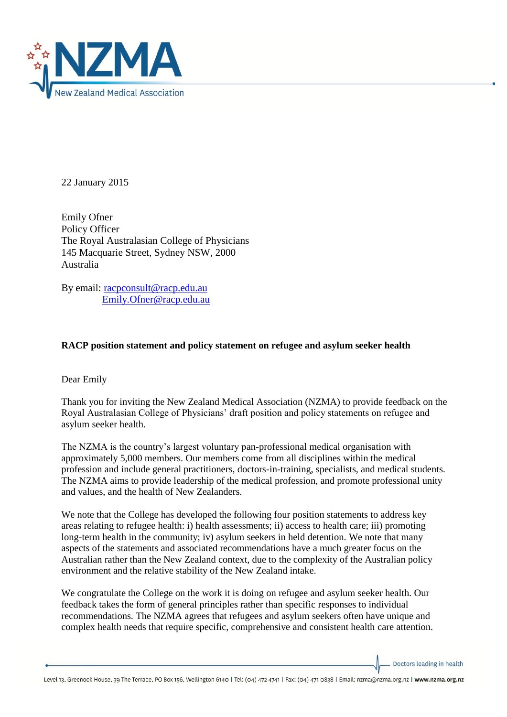

22 January 2015

Emily Ofner Policy Officer The Royal Australasian College of Physicians 145 Macquarie Street, Sydney NSW, 2000 Australia

By email: [racpconsult@racp.edu.au](mailto:racpconsult@racp.edu.au) [Emily.Ofner@racp.edu.au](mailto:Emily.Ofner@racp.edu.au)

## **RACP position statement and policy statement on refugee and asylum seeker health**

Dear Emily

Thank you for inviting the New Zealand Medical Association (NZMA) to provide feedback on the Royal Australasian College of Physicians' draft position and policy statements on refugee and asylum seeker health.

The NZMA is the country's largest voluntary pan-professional medical organisation with approximately 5,000 members. Our members come from all disciplines within the medical profession and include general practitioners, doctors-in-training, specialists, and medical students. The NZMA aims to provide leadership of the medical profession, and promote professional unity and values, and the health of New Zealanders.

We note that the College has developed the following four position statements to address key areas relating to refugee health: i) health assessments; ii) access to health care; iii) promoting long-term health in the community; iv) asylum seekers in held detention. We note that many aspects of the statements and associated recommendations have a much greater focus on the Australian rather than the New Zealand context, due to the complexity of the Australian policy environment and the relative stability of the New Zealand intake.

We congratulate the College on the work it is doing on refugee and asylum seeker health. Our feedback takes the form of general principles rather than specific responses to individual recommendations. The NZMA agrees that refugees and asylum seekers often have unique and complex health needs that require specific, comprehensive and consistent health care attention.

Doctors leading in health